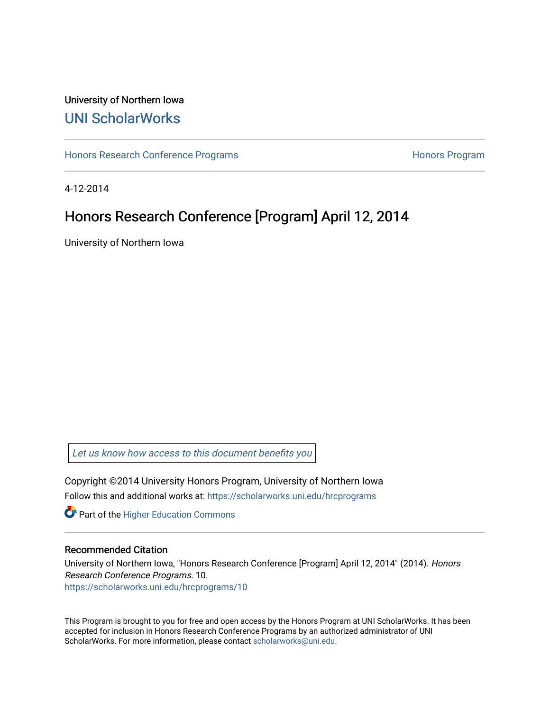### University of Northern Iowa [UNI ScholarWorks](https://scholarworks.uni.edu/)

[Honors Research Conference Programs](https://scholarworks.uni.edu/hrcprograms) **Honors Programs** Honors Program

4-12-2014

# Honors Research Conference [Program] April 12, 2014

University of Northern Iowa

[Let us know how access to this document benefits you](https://scholarworks.uni.edu/feedback_form.html) 

Copyright ©2014 University Honors Program, University of Northern Iowa Follow this and additional works at: [https://scholarworks.uni.edu/hrcprograms](https://scholarworks.uni.edu/hrcprograms?utm_source=scholarworks.uni.edu%2Fhrcprograms%2F10&utm_medium=PDF&utm_campaign=PDFCoverPages)

**Part of the Higher Education Commons** 

#### Recommended Citation

University of Northern Iowa, "Honors Research Conference [Program] April 12, 2014" (2014). Honors Research Conference Programs. 10. [https://scholarworks.uni.edu/hrcprograms/10](https://scholarworks.uni.edu/hrcprograms/10?utm_source=scholarworks.uni.edu%2Fhrcprograms%2F10&utm_medium=PDF&utm_campaign=PDFCoverPages) 

This Program is brought to you for free and open access by the Honors Program at UNI ScholarWorks. It has been accepted for inclusion in Honors Research Conference Programs by an authorized administrator of UNI ScholarWorks. For more information, please contact [scholarworks@uni.edu](mailto:scholarworks@uni.edu).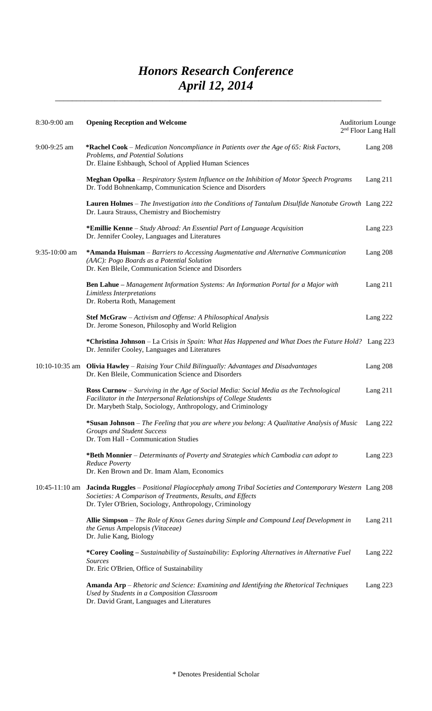## *Honors Research Conference April 12, 2014*  $\blacksquare$  , and the contract of the contract of  $\blacksquare$  , and the contract of the contract of the contract of the contract of the contract of the contract of the contract of the contract of the contract of the contract of the

| $8:30-9:00$ am   | <b>Opening Reception and Welcome</b>                                                                                                                                                                                               | Auditorium Lounge<br>2 <sup>nd</sup> Floor Lang Hall |
|------------------|------------------------------------------------------------------------------------------------------------------------------------------------------------------------------------------------------------------------------------|------------------------------------------------------|
| 9:00-9:25 am     | *Rachel Cook – Medication Noncompliance in Patients over the Age of 65: Risk Factors,<br>Problems, and Potential Solutions<br>Dr. Elaine Eshbaugh, School of Applied Human Sciences                                                | Lang 208                                             |
|                  | Meghan Opolka - Respiratory System Influence on the Inhibition of Motor Speech Programs<br>Dr. Todd Bohnenkamp, Communication Science and Disorders                                                                                | Lang $211$                                           |
|                  | Lauren Holmes - The Investigation into the Conditions of Tantalum Disulfide Nanotube Growth Lang 222<br>Dr. Laura Strauss, Chemistry and Biochemistry                                                                              |                                                      |
|                  | *Emillie Kenne - Study Abroad: An Essential Part of Language Acquisition<br>Dr. Jennifer Cooley, Languages and Literatures                                                                                                         | Lang $223$                                           |
| 9:35-10:00 am    | *Amanda Huisman - Barriers to Accessing Augmentative and Alternative Communication<br>(AAC): Pogo Boards as a Potential Solution<br>Dr. Ken Bleile, Communication Science and Disorders                                            | Lang 208                                             |
|                  | <b>Ben Lahue</b> – Management Information Systems: An Information Portal for a Major with<br>Limitless Interpretations<br>Dr. Roberta Roth, Management                                                                             | Lang $211$                                           |
|                  | Stef McGraw - Activism and Offense: A Philosophical Analysis<br>Dr. Jerome Soneson, Philosophy and World Religion                                                                                                                  | Lang 222                                             |
|                  | *Christina Johnson - La Crisis in Spain: What Has Happened and What Does the Future Hold? Lang 223<br>Dr. Jennifer Cooley, Languages and Literatures                                                                               |                                                      |
| $10:10-10:35$ am | Olivia Hawley - Raising Your Child Bilingually: Advantages and Disadvantages<br>Dr. Ken Bleile, Communication Science and Disorders                                                                                                | Lang 208                                             |
|                  | <b>Ross Curnow</b> – Surviving in the Age of Social Media: Social Media as the Technological<br>Facilitator in the Interpersonal Relationships of College Students<br>Dr. Marybeth Stalp, Sociology, Anthropology, and Criminology | Lang $211$                                           |
|                  | *Susan Johnson - The Feeling that you are where you belong: A Qualitative Analysis of Music<br><b>Groups and Student Success</b><br>Dr. Tom Hall - Communication Studies                                                           | Lang 222                                             |
|                  | *Beth Monnier - Determinants of Poverty and Strategies which Cambodia can adopt to<br>Reduce Poverty<br>Dr. Ken Brown and Dr. Imam Alam, Economics                                                                                 | Lang $223$                                           |
| $10:45-11:10$ am | Jacinda Ruggles - Positional Plagiocephaly among Tribal Societies and Contemporary Western Lang 208<br>Societies: A Comparison of Treatments, Results, and Effects<br>Dr. Tyler O'Brien, Sociology, Anthropology, Criminology      |                                                      |
|                  | Allie Simpson – The Role of Knox Genes during Simple and Compound Leaf Development in<br>the Genus Ampelopsis (Vitaceae)<br>Dr. Julie Kang, Biology                                                                                | Lang $211$                                           |
|                  | *Corey Cooling - Sustainability of Sustainability: Exploring Alternatives in Alternative Fuel<br><b>Sources</b><br>Dr. Eric O'Brien, Office of Sustainability                                                                      | Lang 222                                             |
|                  | <b>Amanda Arp</b> – Rhetoric and Science: Examining and Identifying the Rhetorical Techniques<br>Used by Students in a Composition Classroom<br>Dr. David Grant, Languages and Literatures                                         | Lang $223$                                           |